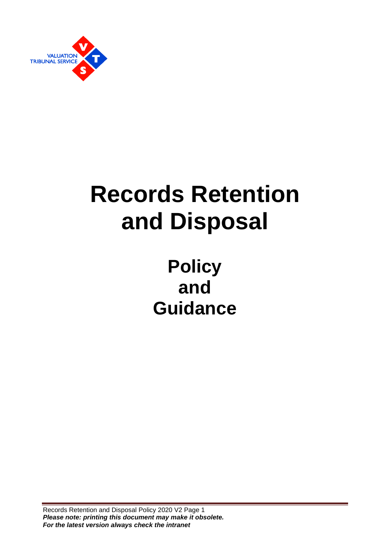

# **Records Retention and Disposal**

# **Policy and Guidance**

Records Retention and Disposal Policy 2020 V2 Page 1 *Please note: printing this document may make it obsolete. For the latest version always check the intranet*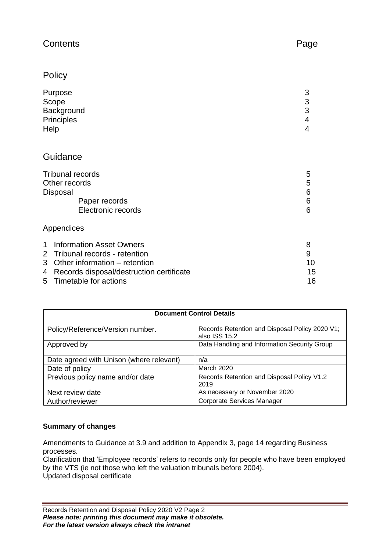#### Contents **Page**

#### **Policy**

| Purpose<br>Scope<br>Background<br>Principles<br>Help | 3<br>3<br>3<br>4<br>4 |
|------------------------------------------------------|-----------------------|
| Guidance                                             |                       |
| <b>Tribunal records</b>                              | 5                     |

#### Appendices

| 1 Information Asset Owners                 |    |
|--------------------------------------------|----|
| 2 Tribunal records - retention             |    |
| 3 Other information – retention            | 10 |
| 4 Records disposal/destruction certificate | 15 |
| 5 Timetable for actions                    | 16 |

| <b>Document Control Details</b>                                                                     |                                                    |  |  |  |
|-----------------------------------------------------------------------------------------------------|----------------------------------------------------|--|--|--|
| Records Retention and Disposal Policy 2020 V1;<br>Policy/Reference/Version number.<br>also ISS 15.2 |                                                    |  |  |  |
| Data Handling and Information Security Group<br>Approved by                                         |                                                    |  |  |  |
| Date agreed with Unison (where relevant)                                                            | n/a                                                |  |  |  |
| <b>March 2020</b><br>Date of policy                                                                 |                                                    |  |  |  |
| Previous policy name and/or date                                                                    | Records Retention and Disposal Policy V1.2<br>2019 |  |  |  |
| Next review date                                                                                    | As necessary or November 2020                      |  |  |  |
| Author/reviewer                                                                                     | <b>Corporate Services Manager</b>                  |  |  |  |

#### **Summary of changes**

Amendments to Guidance at 3.9 and addition to Appendix 3, page 14 regarding Business processes.

Clarification that 'Employee records' refers to records only for people who have been employed by the VTS (ie not those who left the valuation tribunals before 2004). Updated disposal certificate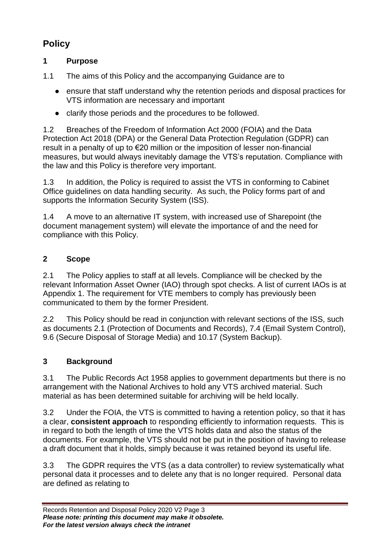# **Policy**

#### **1 Purpose**

- 1.1 The aims of this Policy and the accompanying Guidance are to
	- ensure that staff understand why the retention periods and disposal practices for VTS information are necessary and important
	- clarify those periods and the procedures to be followed.

1.2 Breaches of the Freedom of Information Act 2000 (FOIA) and the Data Protection Act 2018 (DPA) or the General Data Protection Regulation (GDPR) can result in a penalty of up to €20 million or the imposition of lesser non-financial measures, but would always inevitably damage the VTS's reputation. Compliance with the law and this Policy is therefore very important.

1.3 In addition, the Policy is required to assist the VTS in conforming to Cabinet Office guidelines on data handling security. As such, the Policy forms part of and supports the Information Security System (ISS).

1.4 A move to an alternative IT system, with increased use of Sharepoint (the document management system) will elevate the importance of and the need for compliance with this Policy.

#### **2 Scope**

2.1 The Policy applies to staff at all levels. Compliance will be checked by the relevant Information Asset Owner (IAO) through spot checks. A list of current IAOs is at Appendix 1. The requirement for VTE members to comply has previously been communicated to them by the former President.

2.2 This Policy should be read in conjunction with relevant sections of the ISS, such as documents 2.1 (Protection of Documents and Records), 7.4 (Email System Control), 9.6 (Secure Disposal of Storage Media) and 10.17 (System Backup).

#### **3 Background**

3.1 The Public Records Act 1958 applies to government departments but there is no arrangement with the National Archives to hold any VTS archived material. Such material as has been determined suitable for archiving will be held locally.

3.2 Under the FOIA, the VTS is committed to having a retention policy, so that it has a clear, **consistent approach** to responding efficiently to information requests. This is in regard to both the length of time the VTS holds data and also the status of the documents. For example, the VTS should not be put in the position of having to release a draft document that it holds, simply because it was retained beyond its useful life.

3.3 The GDPR requires the VTS (as a data controller) to review systematically what personal data it processes and to delete any that is no longer required. Personal data are defined as relating to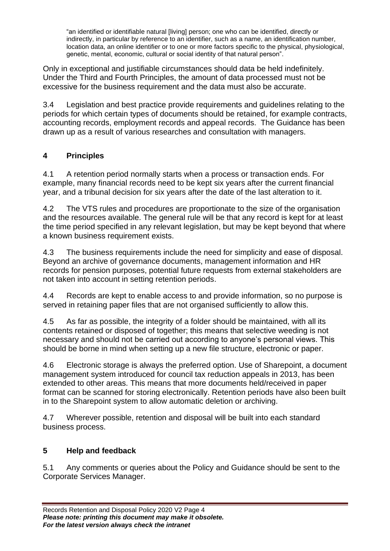"an identified or identifiable natural [living] person; one who can be identified, directly or indirectly, in particular by reference to an identifier, such as a name, an identification number, location data, an online identifier or to one or more factors specific to the physical, physiological, genetic, mental, economic, cultural or social identity of that natural person".

Only in exceptional and justifiable circumstances should data be held indefinitely. Under the Third and Fourth Principles, the amount of data processed must not be excessive for the business requirement and the data must also be accurate.

3.4 Legislation and best practice provide requirements and guidelines relating to the periods for which certain types of documents should be retained, for example contracts, accounting records, employment records and appeal records. The Guidance has been drawn up as a result of various researches and consultation with managers.

#### **4 Principles**

4.1 A retention period normally starts when a process or transaction ends. For example, many financial records need to be kept six years after the current financial year, and a tribunal decision for six years after the date of the last alteration to it.

4.2 The VTS rules and procedures are proportionate to the size of the organisation and the resources available. The general rule will be that any record is kept for at least the time period specified in any relevant legislation, but may be kept beyond that where a known business requirement exists.

4.3 The business requirements include the need for simplicity and ease of disposal. Beyond an archive of governance documents, management information and HR records for pension purposes, potential future requests from external stakeholders are not taken into account in setting retention periods.

4.4 Records are kept to enable access to and provide information, so no purpose is served in retaining paper files that are not organised sufficiently to allow this.

4.5 As far as possible, the integrity of a folder should be maintained, with all its contents retained or disposed of together; this means that selective weeding is not necessary and should not be carried out according to anyone's personal views. This should be borne in mind when setting up a new file structure, electronic or paper.

4.6 Electronic storage is always the preferred option. Use of Sharepoint, a document management system introduced for council tax reduction appeals in 2013, has been extended to other areas. This means that more documents held/received in paper format can be scanned for storing electronically. Retention periods have also been built in to the Sharepoint system to allow automatic deletion or archiving.

4.7 Wherever possible, retention and disposal will be built into each standard business process.

#### **5 Help and feedback**

5.1 Any comments or queries about the Policy and Guidance should be sent to the Corporate Services Manager.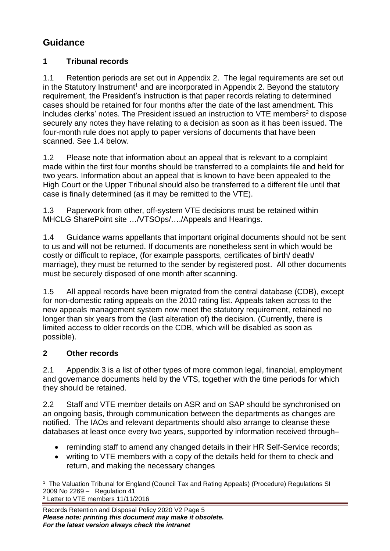# **Guidance**

#### **1 Tribunal records**

1.1 Retention periods are set out in Appendix 2. The legal requirements are set out in the Statutory Instrument<sup>1</sup> and are incorporated in Appendix 2. Beyond the statutory requirement, the President's instruction is that paper records relating to determined cases should be retained for four months after the date of the last amendment. This includes clerks' notes. The President issued an instruction to VTE members<sup>2</sup> to dispose securely any notes they have relating to a decision as soon as it has been issued. The four-month rule does not apply to paper versions of documents that have been scanned. See 1.4 below.

1.2 Please note that information about an appeal that is relevant to a complaint made within the first four months should be transferred to a complaints file and held for two years. Information about an appeal that is known to have been appealed to the High Court or the Upper Tribunal should also be transferred to a different file until that case is finally determined (as it may be remitted to the VTE).

1.3 Paperwork from other, off-system VTE decisions must be retained within MHCLG SharePoint site …/VTSOps/…./Appeals and Hearings.

1.4 Guidance warns appellants that important original documents should not be sent to us and will not be returned. If documents are nonetheless sent in which would be costly or difficult to replace, (for example passports, certificates of birth/ death/ marriage), they must be returned to the sender by registered post. All other documents must be securely disposed of one month after scanning.

1.5 All appeal records have been migrated from the central database (CDB), except for non-domestic rating appeals on the 2010 rating list. Appeals taken across to the new appeals management system now meet the statutory requirement, retained no longer than six years from the (last alteration of) the decision. (Currently, there is limited access to older records on the CDB, which will be disabled as soon as possible).

#### **2 Other records**

2.1 Appendix 3 is a list of other types of more common legal, financial, employment and governance documents held by the VTS, together with the time periods for which they should be retained.

2.2 Staff and VTE member details on ASR and on SAP should be synchronised on an ongoing basis, through communication between the departments as changes are notified. The IAOs and relevant departments should also arrange to cleanse these databases at least once every two years, supported by information received through–

- reminding staff to amend any changed details in their HR Self-Service records;
- writing to VTE members with a copy of the details held for them to check and return, and making the necessary changes

<sup>1</sup> The Valuation Tribunal for England (Council Tax and Rating Appeals) (Procedure) Regulations SI 2009 No 2269 – Regulation 41 <sup>2</sup> Letter to VTE members 11/11/2016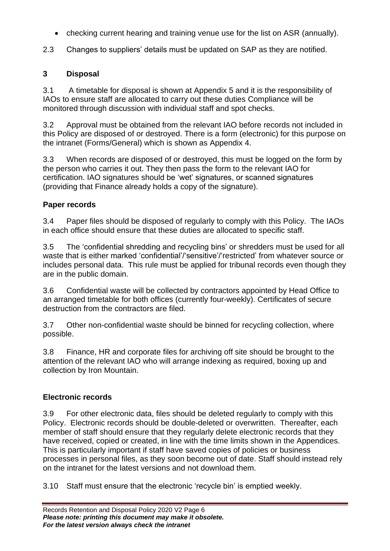- checking current hearing and training venue use for the list on ASR (annually).
- 2.3 Changes to suppliers' details must be updated on SAP as they are notified.

#### **3 Disposal**

3.1 A timetable for disposal is shown at Appendix 5 and it is the responsibility of IAOs to ensure staff are allocated to carry out these duties Compliance will be monitored through discussion with individual staff and spot checks.

3.2 Approval must be obtained from the relevant IAO before records not included in this Policy are disposed of or destroyed. There is a form (electronic) for this purpose on the intranet (Forms/General) which is shown as Appendix 4.

3.3 When records are disposed of or destroyed, this must be logged on the form by the person who carries it out. They then pass the form to the relevant IAO for certification. IAO signatures should be 'wet' signatures, or scanned signatures (providing that Finance already holds a copy of the signature).

#### **Paper records**

3.4 Paper files should be disposed of regularly to comply with this Policy. The IAOs in each office should ensure that these duties are allocated to specific staff.

3.5 The 'confidential shredding and recycling bins' or shredders must be used for all waste that is either marked 'confidential'/'sensitive'/'restricted' from whatever source or includes personal data. This rule must be applied for tribunal records even though they are in the public domain.

3.6 Confidential waste will be collected by contractors appointed by Head Office to an arranged timetable for both offices (currently four-weekly). Certificates of secure destruction from the contractors are filed.

3.7 Other non-confidential waste should be binned for recycling collection, where possible.

3.8 Finance, HR and corporate files for archiving off site should be brought to the attention of the relevant IAO who will arrange indexing as required, boxing up and collection by Iron Mountain.

### **Electronic records**

3.9 For other electronic data, files should be deleted regularly to comply with this Policy. Electronic records should be double-deleted or overwritten. Thereafter, each member of staff should ensure that they regularly delete electronic records that they have received, copied or created, in line with the time limits shown in the Appendices. This is particularly important if staff have saved copies of policies or business processes in personal files, as they soon become out of date. Staff should instead rely on the intranet for the latest versions and not download them.

3.10 Staff must ensure that the electronic 'recycle bin' is emptied weekly.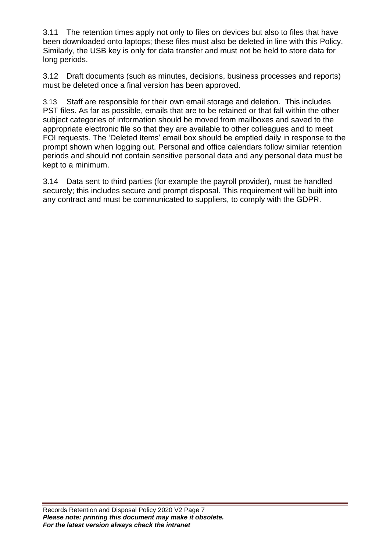3.11 The retention times apply not only to files on devices but also to files that have been downloaded onto laptops; these files must also be deleted in line with this Policy. Similarly, the USB key is only for data transfer and must not be held to store data for long periods.

3.12 Draft documents (such as minutes, decisions, business processes and reports) must be deleted once a final version has been approved.

3.13 Staff are responsible for their own email storage and deletion. This includes PST files. As far as possible, emails that are to be retained or that fall within the other subject categories of information should be moved from mailboxes and saved to the appropriate electronic file so that they are available to other colleagues and to meet FOI requests. The 'Deleted Items' email box should be emptied daily in response to the prompt shown when logging out. Personal and office calendars follow similar retention periods and should not contain sensitive personal data and any personal data must be kept to a minimum.

3.14 Data sent to third parties (for example the payroll provider), must be handled securely; this includes secure and prompt disposal. This requirement will be built into any contract and must be communicated to suppliers, to comply with the GDPR.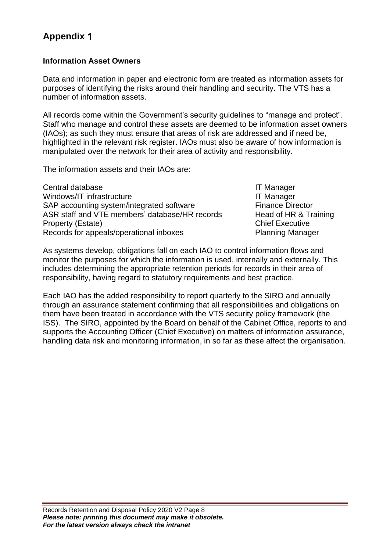# **Appendix** 1

#### **Information Asset Owners**

Data and information in paper and electronic form are treated as information assets for purposes of identifying the risks around their handling and security. The VTS has a number of information assets.

All records come within the Government's security guidelines to "manage and protect". Staff who manage and control these assets are deemed to be information asset owners (IAOs); as such they must ensure that areas of risk are addressed and if need be, highlighted in the relevant risk register. IAOs must also be aware of how information is manipulated over the network for their area of activity and responsibility.

The information assets and their IAOs are:

| Central database                               | <b>IT Manager</b>       |
|------------------------------------------------|-------------------------|
| Windows/IT infrastructure                      | <b>IT Manager</b>       |
| SAP accounting system/integrated software      | <b>Finance Director</b> |
| ASR staff and VTE members' database/HR records | Head of HR & Training   |
| Property (Estate)                              | <b>Chief Executive</b>  |
| Records for appeals/operational inboxes        | <b>Planning Manager</b> |

As systems develop, obligations fall on each IAO to control information flows and monitor the purposes for which the information is used, internally and externally. This includes determining the appropriate retention periods for records in their area of responsibility, having regard to statutory requirements and best practice.

Each IAO has the added responsibility to report quarterly to the SIRO and annually through an assurance statement confirming that all responsibilities and obligations on them have been treated in accordance with the VTS security policy framework (the ISS). The SIRO, appointed by the Board on behalf of the Cabinet Office, reports to and supports the Accounting Officer (Chief Executive) on matters of information assurance, handling data risk and monitoring information, in so far as these affect the organisation.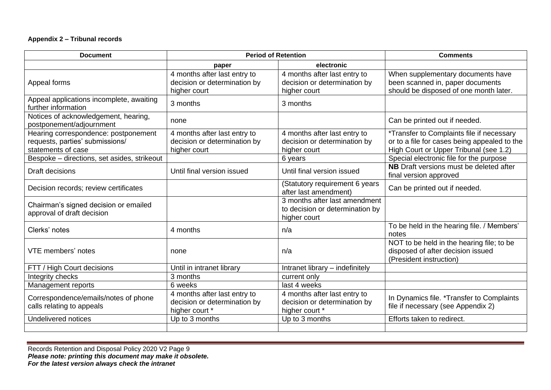#### **Appendix 2 – Tribunal records**

| <b>Document</b>                                                                               | <b>Period of Retention</b>                                                     |                                                                                  | <b>Comments</b>                                                                                                                     |
|-----------------------------------------------------------------------------------------------|--------------------------------------------------------------------------------|----------------------------------------------------------------------------------|-------------------------------------------------------------------------------------------------------------------------------------|
|                                                                                               | paper                                                                          | electronic                                                                       |                                                                                                                                     |
| Appeal forms                                                                                  | 4 months after last entry to<br>decision or determination by<br>higher court   | 4 months after last entry to<br>decision or determination by<br>higher court     | When supplementary documents have<br>been scanned in, paper documents<br>should be disposed of one month later.                     |
| Appeal applications incomplete, awaiting<br>further information                               | 3 months                                                                       | 3 months                                                                         |                                                                                                                                     |
| Notices of acknowledgement, hearing,<br>postponement/adjournment                              | none                                                                           |                                                                                  | Can be printed out if needed.                                                                                                       |
| Hearing correspondence: postponement<br>requests, parties' submissions/<br>statements of case | 4 months after last entry to<br>decision or determination by<br>higher court   | 4 months after last entry to<br>decision or determination by<br>higher court     | *Transfer to Complaints file if necessary<br>or to a file for cases being appealed to the<br>High Court or Upper Tribunal (see 1.2) |
| Bespoke - directions, set asides, strikeout                                                   |                                                                                | 6 years                                                                          | Special electronic file for the purpose                                                                                             |
| Draft decisions                                                                               | Until final version issued                                                     | Until final version issued                                                       | <b>NB</b> Draft versions must be deleted after<br>final version approved                                                            |
| Decision records; review certificates                                                         |                                                                                | (Statutory requirement 6 years<br>after last amendment)                          | Can be printed out if needed.                                                                                                       |
| Chairman's signed decision or emailed<br>approval of draft decision                           |                                                                                | 3 months after last amendment<br>to decision or determination by<br>higher court |                                                                                                                                     |
| Clerks' notes                                                                                 | 4 months                                                                       | n/a                                                                              | To be held in the hearing file. / Members'<br>notes                                                                                 |
| VTE members' notes                                                                            | none                                                                           | n/a                                                                              | NOT to be held in the hearing file; to be<br>disposed of after decision issued<br>(President instruction)                           |
| FTT / High Court decisions                                                                    | Until in intranet library                                                      | Intranet library - indefinitely                                                  |                                                                                                                                     |
| Integrity checks                                                                              | 3 months                                                                       | current only                                                                     |                                                                                                                                     |
| Management reports                                                                            | 6 weeks                                                                        | last 4 weeks                                                                     |                                                                                                                                     |
| Correspondence/emails/notes of phone<br>calls relating to appeals                             | 4 months after last entry to<br>decision or determination by<br>higher court * | 4 months after last entry to<br>decision or determination by<br>higher court *   | In Dynamics file. *Transfer to Complaints<br>file if necessary (see Appendix 2)                                                     |
| Undelivered notices                                                                           | Up to 3 months                                                                 | Up to 3 months                                                                   | Efforts taken to redirect.                                                                                                          |
|                                                                                               |                                                                                |                                                                                  |                                                                                                                                     |

Records Retention and Disposal Policy 2020 V2 Page 9 *Please note: printing this document may make it obsolete. For the latest version always check the intranet*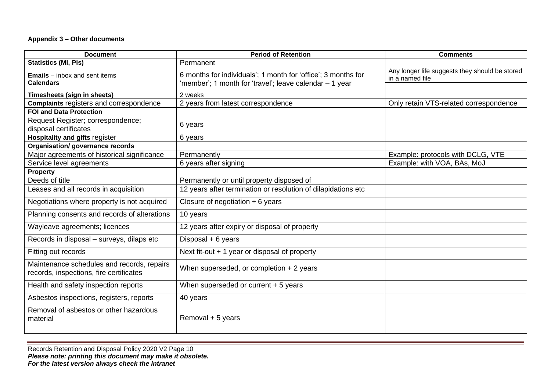#### **Appendix 3 – Other documents**

| <b>Document</b>                                                                       | <b>Period of Retention</b>                                                                                               | <b>Comments</b>                                                   |
|---------------------------------------------------------------------------------------|--------------------------------------------------------------------------------------------------------------------------|-------------------------------------------------------------------|
| <b>Statistics (MI, Pis)</b>                                                           | Permanent                                                                                                                |                                                                   |
| <b>Emails</b> – inbox and sent items<br><b>Calendars</b>                              | 6 months for individuals'; 1 month for 'office'; 3 months for<br>'member'; 1 month for 'travel'; leave calendar – 1 year | Any longer life suggests they should be stored<br>in a named file |
| Timesheets (sign in sheets)                                                           | 2 weeks                                                                                                                  |                                                                   |
| <b>Complaints registers and correspondence</b>                                        | 2 years from latest correspondence                                                                                       | Only retain VTS-related correspondence                            |
| <b>FOI and Data Protection</b>                                                        |                                                                                                                          |                                                                   |
| Request Register; correspondence;<br>disposal certificates                            | 6 years                                                                                                                  |                                                                   |
| <b>Hospitality and gifts register</b>                                                 | 6 years                                                                                                                  |                                                                   |
| <b>Organisation/governance records</b>                                                |                                                                                                                          |                                                                   |
| Major agreements of historical significance                                           | Permanently                                                                                                              | Example: protocols with DCLG, VTE                                 |
| Service level agreements                                                              | 6 years after signing                                                                                                    | Example: with VOA, BAs, MoJ                                       |
| <b>Property</b>                                                                       |                                                                                                                          |                                                                   |
| Deeds of title                                                                        | Permanently or until property disposed of                                                                                |                                                                   |
| Leases and all records in acquisition                                                 | 12 years after termination or resolution of dilapidations etc                                                            |                                                                   |
| Negotiations where property is not acquired                                           | Closure of negotiation $+ 6$ years                                                                                       |                                                                   |
| Planning consents and records of alterations                                          | 10 years                                                                                                                 |                                                                   |
| Wayleave agreements; licences                                                         | 12 years after expiry or disposal of property                                                                            |                                                                   |
| Records in disposal - surveys, dilaps etc                                             | Disposal $+ 6$ years                                                                                                     |                                                                   |
| Fitting out records                                                                   | Next fit-out $+1$ year or disposal of property                                                                           |                                                                   |
| Maintenance schedules and records, repairs<br>records, inspections, fire certificates | When superseded, or completion $+2$ years                                                                                |                                                                   |
| Health and safety inspection reports                                                  | When superseded or current $+5$ years                                                                                    |                                                                   |
| Asbestos inspections, registers, reports                                              | 40 years                                                                                                                 |                                                                   |
| Removal of asbestos or other hazardous<br>material                                    | Removal + 5 years                                                                                                        |                                                                   |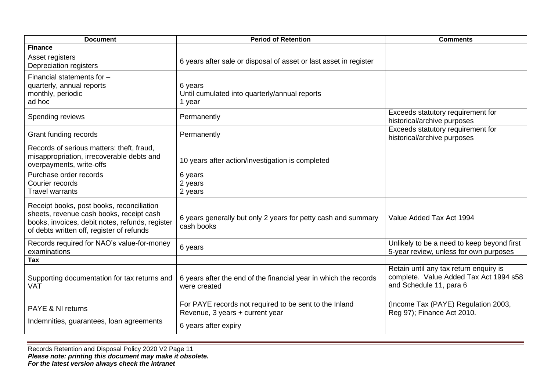| <b>Document</b>                                                                                                                                                                       | <b>Period of Retention</b>                                                                | <b>Comments</b>                                                                                             |
|---------------------------------------------------------------------------------------------------------------------------------------------------------------------------------------|-------------------------------------------------------------------------------------------|-------------------------------------------------------------------------------------------------------------|
| <b>Finance</b>                                                                                                                                                                        |                                                                                           |                                                                                                             |
| Asset registers<br>Depreciation registers                                                                                                                                             | 6 years after sale or disposal of asset or last asset in register                         |                                                                                                             |
| Financial statements for -<br>quarterly, annual reports<br>monthly, periodic<br>ad hoc                                                                                                | 6 years<br>Until cumulated into quarterly/annual reports<br>1 year                        |                                                                                                             |
| Spending reviews                                                                                                                                                                      | Permanently                                                                               | Exceeds statutory requirement for<br>historical/archive purposes                                            |
| Grant funding records                                                                                                                                                                 | Permanently                                                                               | Exceeds statutory requirement for<br>historical/archive purposes                                            |
| Records of serious matters: theft, fraud,<br>misappropriation, irrecoverable debts and<br>overpayments, write-offs                                                                    | 10 years after action/investigation is completed                                          |                                                                                                             |
| Purchase order records<br>Courier records<br><b>Travel warrants</b>                                                                                                                   | 6 years<br>2 years<br>2 years                                                             |                                                                                                             |
| Receipt books, post books, reconciliation<br>sheets, revenue cash books, receipt cash<br>books, invoices, debit notes, refunds, register<br>of debts written off, register of refunds | 6 years generally but only 2 years for petty cash and summary<br>cash books               | Value Added Tax Act 1994                                                                                    |
| Records required for NAO's value-for-money<br>examinations                                                                                                                            | 6 years                                                                                   | Unlikely to be a need to keep beyond first<br>5-year review, unless for own purposes                        |
| Tax                                                                                                                                                                                   |                                                                                           |                                                                                                             |
| Supporting documentation for tax returns and<br><b>VAT</b>                                                                                                                            | 6 years after the end of the financial year in which the records<br>were created          | Retain until any tax return enquiry is<br>complete. Value Added Tax Act 1994 s58<br>and Schedule 11, para 6 |
| <b>PAYE &amp; NI returns</b>                                                                                                                                                          | For PAYE records not required to be sent to the Inland<br>Revenue, 3 years + current year | (Income Tax (PAYE) Regulation 2003,<br>Reg 97); Finance Act 2010.                                           |
| Indemnities, guarantees, loan agreements                                                                                                                                              | 6 years after expiry                                                                      |                                                                                                             |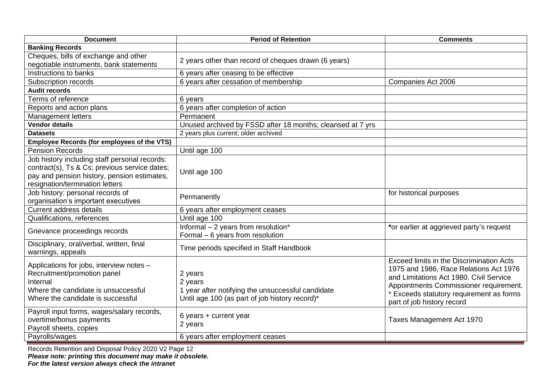| <b>Document</b>                                                                                                                                                                  | <b>Period of Retention</b>                                                                                                | <b>Comments</b>                                                                                                                                                                                                                                   |
|----------------------------------------------------------------------------------------------------------------------------------------------------------------------------------|---------------------------------------------------------------------------------------------------------------------------|---------------------------------------------------------------------------------------------------------------------------------------------------------------------------------------------------------------------------------------------------|
| <b>Banking Records</b>                                                                                                                                                           |                                                                                                                           |                                                                                                                                                                                                                                                   |
| Cheques, bills of exchange and other<br>negotiable instruments, bank statements                                                                                                  | 2 years other than record of cheques drawn (6 years)                                                                      |                                                                                                                                                                                                                                                   |
| Instructions to banks                                                                                                                                                            | 6 years after ceasing to be effective                                                                                     |                                                                                                                                                                                                                                                   |
| Subscription records                                                                                                                                                             | 6 years after cessation of membership                                                                                     | Companies Act 2006                                                                                                                                                                                                                                |
| <b>Audit records</b>                                                                                                                                                             |                                                                                                                           |                                                                                                                                                                                                                                                   |
| Terms of reference                                                                                                                                                               | 6 years                                                                                                                   |                                                                                                                                                                                                                                                   |
| Reports and action plans                                                                                                                                                         | 6 years after completion of action                                                                                        |                                                                                                                                                                                                                                                   |
| <b>Management letters</b>                                                                                                                                                        | Permanent                                                                                                                 |                                                                                                                                                                                                                                                   |
| <b>Vendor details</b>                                                                                                                                                            | Unused archived by FSSD after 18 months; cleansed at 7 yrs                                                                |                                                                                                                                                                                                                                                   |
| <b>Datasets</b>                                                                                                                                                                  | 2 years plus current; older archived                                                                                      |                                                                                                                                                                                                                                                   |
| <b>Employee Records (for employees of the VTS)</b>                                                                                                                               |                                                                                                                           |                                                                                                                                                                                                                                                   |
| <b>Pension Records</b>                                                                                                                                                           | Until age 100                                                                                                             |                                                                                                                                                                                                                                                   |
| Job history including staff personal records:<br>contract(s), Ts & Cs; previous service dates;<br>pay and pension history, pension estimates,<br>resignation/termination letters | Until age 100                                                                                                             |                                                                                                                                                                                                                                                   |
| Job history: personal records of<br>organisation's important executives                                                                                                          | Permanently                                                                                                               | for historical purposes                                                                                                                                                                                                                           |
| Current address details                                                                                                                                                          | 6 years after employment ceases                                                                                           |                                                                                                                                                                                                                                                   |
| Qualifications, references                                                                                                                                                       | Until age 100                                                                                                             |                                                                                                                                                                                                                                                   |
| Grievance proceedings records                                                                                                                                                    | Informal - 2 years from resolution*<br>Formal - 6 years from resolution                                                   | *or earlier at aggrieved party's request                                                                                                                                                                                                          |
| Disciplinary, oral/verbal, written, final<br>warnings, appeals                                                                                                                   | Time periods specified in Staff Handbook                                                                                  |                                                                                                                                                                                                                                                   |
| Applications for jobs, interview notes -<br>Recruitment/promotion panel<br>Internal<br>Where the candidate is unsuccessful<br>Where the candidate is successful                  | 2 years<br>2 years<br>1 year after notifying the unsuccessful candidate<br>Until age 100 (as part of job history record)* | Exceed limits in the Discrimination Acts<br>1975 and 1986, Race Relations Act 1976<br>and Limitations Act 1980. Civil Service<br>Appointments Commissioner requirement.<br>* Exceeds statutory requirement as forms<br>part of job history record |
| Payroll input forms, wages/salary records,<br>overtime/bonus payments<br>Payroll sheets, copies                                                                                  | 6 years + current year<br>2 years                                                                                         | Taxes Management Act 1970                                                                                                                                                                                                                         |
| Payrolls/wages                                                                                                                                                                   | 6 years after employment ceases                                                                                           |                                                                                                                                                                                                                                                   |

Records Retention and Disposal Policy 2020 V2 Page 12 *Please note: printing this document may make it obsolete. For the latest version always check the intranet*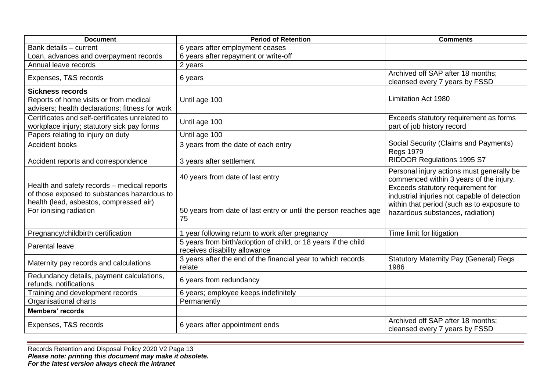| <b>Document</b>                                                                                                                                                 | <b>Period of Retention</b>                                                                                 | <b>Comments</b>                                                                                                                                                                                                                                             |
|-----------------------------------------------------------------------------------------------------------------------------------------------------------------|------------------------------------------------------------------------------------------------------------|-------------------------------------------------------------------------------------------------------------------------------------------------------------------------------------------------------------------------------------------------------------|
| Bank details - current                                                                                                                                          | 6 years after employment ceases                                                                            |                                                                                                                                                                                                                                                             |
| Loan, advances and overpayment records                                                                                                                          | 6 years after repayment or write-off                                                                       |                                                                                                                                                                                                                                                             |
| Annual leave records                                                                                                                                            | 2 years                                                                                                    |                                                                                                                                                                                                                                                             |
| Expenses, T&S records                                                                                                                                           | 6 years                                                                                                    | Archived off SAP after 18 months;<br>cleansed every 7 years by FSSD                                                                                                                                                                                         |
| <b>Sickness records</b><br>Reports of home visits or from medical<br>advisers; health declarations; fitness for work                                            | Until age 100                                                                                              | <b>Limitation Act 1980</b>                                                                                                                                                                                                                                  |
| Certificates and self-certificates unrelated to<br>workplace injury; statutory sick pay forms                                                                   | Until age 100                                                                                              | Exceeds statutory requirement as forms<br>part of job history record                                                                                                                                                                                        |
| Papers relating to injury on duty                                                                                                                               | Until age 100                                                                                              |                                                                                                                                                                                                                                                             |
| Accident books                                                                                                                                                  | 3 years from the date of each entry                                                                        | Social Security (Claims and Payments)<br><b>Regs 1979</b>                                                                                                                                                                                                   |
| Accident reports and correspondence                                                                                                                             | 3 years after settlement                                                                                   | RIDDOR Regulations 1995 S7                                                                                                                                                                                                                                  |
| Health and safety records - medical reports<br>of those exposed to substances hazardous to<br>health (lead, asbestos, compressed air)<br>For ionising radiation | 40 years from date of last entry<br>50 years from date of last entry or until the person reaches age<br>75 | Personal injury actions must generally be<br>commenced within 3 years of the injury.<br>Exceeds statutory requirement for<br>industrial injuries not capable of detection<br>within that period (such as to exposure to<br>hazardous substances, radiation) |
| Pregnancy/childbirth certification                                                                                                                              | 1 year following return to work after pregnancy                                                            | Time limit for litigation                                                                                                                                                                                                                                   |
| Parental leave                                                                                                                                                  | 5 years from birth/adoption of child, or 18 years if the child<br>receives disability allowance            |                                                                                                                                                                                                                                                             |
| Maternity pay records and calculations                                                                                                                          | 3 years after the end of the financial year to which records<br>relate                                     | <b>Statutory Maternity Pay (General) Regs</b><br>1986                                                                                                                                                                                                       |
| Redundancy details, payment calculations,<br>refunds, notifications                                                                                             | 6 years from redundancy                                                                                    |                                                                                                                                                                                                                                                             |
| Training and development records                                                                                                                                | 6 years; employee keeps indefinitely                                                                       |                                                                                                                                                                                                                                                             |
| Organisational charts                                                                                                                                           | Permanently                                                                                                |                                                                                                                                                                                                                                                             |
| <b>Members' records</b>                                                                                                                                         |                                                                                                            |                                                                                                                                                                                                                                                             |
| Expenses, T&S records                                                                                                                                           | 6 years after appointment ends                                                                             | Archived off SAP after 18 months;<br>cleansed every 7 years by FSSD                                                                                                                                                                                         |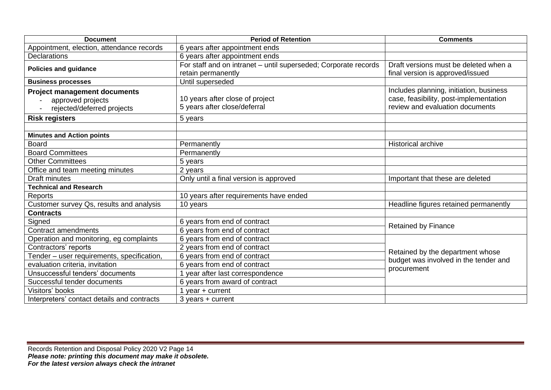| <b>Document</b>                                                                        | <b>Period of Retention</b>                                                            | <b>Comments</b>                                                                                                      |
|----------------------------------------------------------------------------------------|---------------------------------------------------------------------------------------|----------------------------------------------------------------------------------------------------------------------|
| Appointment, election, attendance records                                              | 6 years after appointment ends                                                        |                                                                                                                      |
| <b>Declarations</b>                                                                    | 6 years after appointment ends                                                        |                                                                                                                      |
| <b>Policies and guidance</b>                                                           | For staff and on intranet - until superseded; Corporate records<br>retain permanently | Draft versions must be deleted when a<br>final version is approved/issued                                            |
| <b>Business processes</b>                                                              | Until superseded                                                                      |                                                                                                                      |
| <b>Project management documents</b><br>approved projects<br>rejected/deferred projects | 10 years after close of project<br>5 years after close/deferral                       | Includes planning, initiation, business<br>case, feasibility, post-implementation<br>review and evaluation documents |
| <b>Risk registers</b>                                                                  | 5 years                                                                               |                                                                                                                      |
| <b>Minutes and Action points</b>                                                       |                                                                                       |                                                                                                                      |
| <b>Board</b>                                                                           | Permanently                                                                           | <b>Historical archive</b>                                                                                            |
| <b>Board Committees</b>                                                                | Permanently                                                                           |                                                                                                                      |
| <b>Other Committees</b>                                                                | 5 years                                                                               |                                                                                                                      |
| Office and team meeting minutes                                                        | 2 years                                                                               |                                                                                                                      |
| <b>Draft minutes</b>                                                                   | Only until a final version is approved                                                | Important that these are deleted                                                                                     |
| <b>Technical and Research</b>                                                          |                                                                                       |                                                                                                                      |
| Reports                                                                                | 10 years after requirements have ended                                                |                                                                                                                      |
| Customer survey Qs, results and analysis                                               | 10 years                                                                              | Headline figures retained permanently                                                                                |
| <b>Contracts</b>                                                                       |                                                                                       |                                                                                                                      |
| Signed                                                                                 | 6 years from end of contract                                                          | <b>Retained by Finance</b>                                                                                           |
| Contract amendments                                                                    | 6 years from end of contract                                                          |                                                                                                                      |
| Operation and monitoring, eg complaints                                                | 6 years from end of contract                                                          |                                                                                                                      |
| Contractors' reports                                                                   | 2 years from end of contract                                                          | Retained by the department whose                                                                                     |
| Tender - user requirements, specification,                                             | 6 years from end of contract                                                          | budget was involved in the tender and                                                                                |
| evaluation criteria, invitation                                                        | 6 years from end of contract                                                          | procurement                                                                                                          |
| Unsuccessful tenders' documents                                                        | 1 year after last correspondence                                                      |                                                                                                                      |
| Successful tender documents                                                            | 6 years from award of contract                                                        |                                                                                                                      |
| Visitors' books                                                                        | 1 year $+$ current                                                                    |                                                                                                                      |
| Interpreters' contact details and contracts                                            | $3$ years $+$ current                                                                 |                                                                                                                      |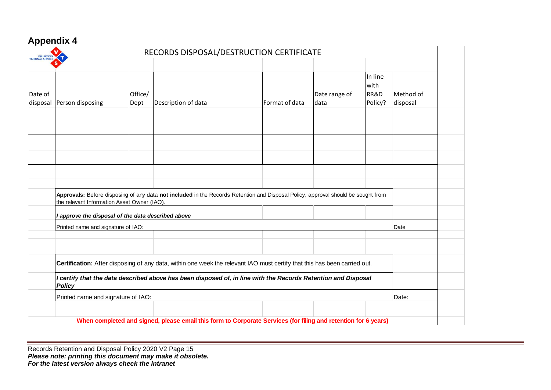#### **Appendix 4**

| <b>VALUATION</b><br>TRIBUNAL SERVICE |                                                                                                                                                                                                                                                             |                 | RECORDS DISPOSAL/DESTRUCTION CERTIFICATE                                                                                          |                |                       |                                    |                       |  |
|--------------------------------------|-------------------------------------------------------------------------------------------------------------------------------------------------------------------------------------------------------------------------------------------------------------|-----------------|-----------------------------------------------------------------------------------------------------------------------------------|----------------|-----------------------|------------------------------------|-----------------------|--|
| Date of<br>disposal                  | Person disposing                                                                                                                                                                                                                                            | Office/<br>Dept | Description of data                                                                                                               | Format of data | Date range of<br>data | In line<br>with<br>RR&D<br>Policy? | Method of<br>disposal |  |
|                                      |                                                                                                                                                                                                                                                             |                 |                                                                                                                                   |                |                       |                                    |                       |  |
|                                      |                                                                                                                                                                                                                                                             |                 |                                                                                                                                   |                |                       |                                    |                       |  |
|                                      |                                                                                                                                                                                                                                                             |                 |                                                                                                                                   |                |                       |                                    |                       |  |
|                                      | the relevant Information Asset Owner (IAO).                                                                                                                                                                                                                 |                 | Approvals: Before disposing of any data not included in the Records Retention and Disposal Policy, approval should be sought from |                |                       |                                    |                       |  |
|                                      | I approve the disposal of the data described above                                                                                                                                                                                                          |                 |                                                                                                                                   |                |                       |                                    |                       |  |
|                                      | Printed name and signature of IAO:                                                                                                                                                                                                                          |                 |                                                                                                                                   |                | Date                  |                                    |                       |  |
|                                      |                                                                                                                                                                                                                                                             |                 |                                                                                                                                   |                |                       |                                    |                       |  |
|                                      |                                                                                                                                                                                                                                                             |                 |                                                                                                                                   |                |                       |                                    |                       |  |
|                                      | Certification: After disposing of any data, within one week the relevant IAO must certify that this has been carried out.<br>I certify that the data described above has been disposed of, in line with the Records Retention and Disposal<br><b>Policy</b> |                 |                                                                                                                                   |                |                       |                                    |                       |  |
|                                      |                                                                                                                                                                                                                                                             |                 |                                                                                                                                   |                |                       |                                    |                       |  |
|                                      | Printed name and signature of IAO:                                                                                                                                                                                                                          |                 |                                                                                                                                   |                |                       |                                    | Date:                 |  |
|                                      |                                                                                                                                                                                                                                                             |                 |                                                                                                                                   |                |                       |                                    |                       |  |
|                                      |                                                                                                                                                                                                                                                             |                 | When completed and signed, please email this form to Corporate Services (for filing and retention for 6 years)                    |                |                       |                                    |                       |  |

Records Retention and Disposal Policy 2020 V2 Page 15 *Please note: printing this document may make it obsolete. For the latest version always check the intranet*